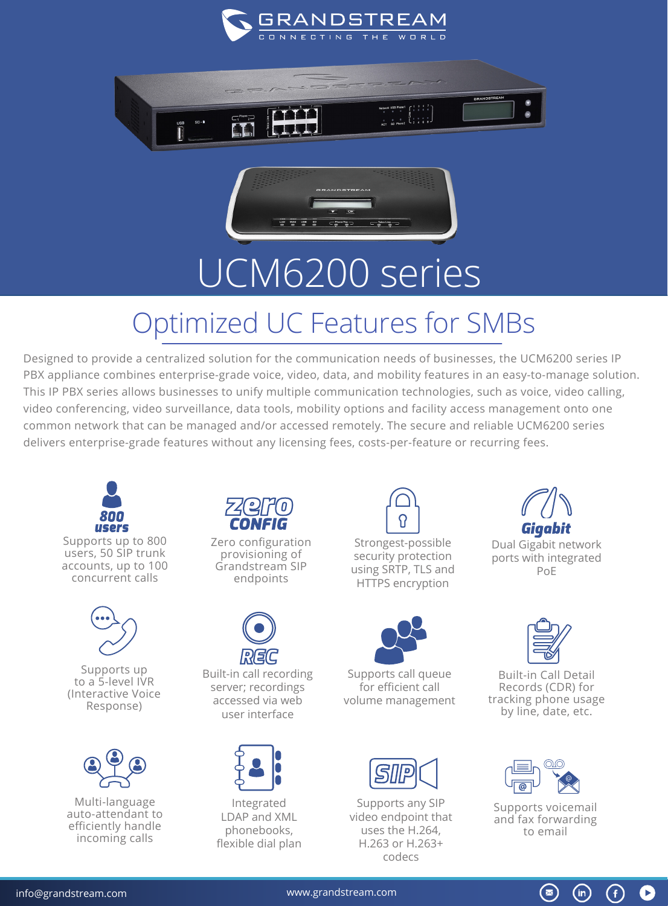





## UCM6200 series

## Optimized UC Features for SMBs

Designed to provide a centralized solution for the communication needs of businesses, the UCM6200 series IP PBX appliance combines enterprise-grade voice, video, data, and mobility features in an easy-to-manage solution. This IP PBX series allows businesses to unify multiple communication technologies, such as voice, video calling, video conferencing, video surveillance, data tools, mobility options and facility access management onto one common network that can be managed and/or accessed remotely. The secure and reliable UCM6200 series delivers enterprise-grade features without any licensing fees, costs-per-feature or recurring fees.



users, 50 SIP trunk accounts, up to 100 concurrent calls



Supports up to a 5-level IVR (Interactive Voice Response)



Multi-language auto-attendant to efficiently handle incoming calls



Zero configuration provisioning of Grandstream SIP endpoints



Built-in call recording server; recordings accessed via web user interface



Integrated LDAP and XML phonebooks, flexible dial plan



Strongest-possible security protection using SRTP, TLS and HTTPS encryption



Supports call queue for efficient call volume management



Supports any SIP video endpoint that uses the H.264, H.263 or H.263+ codecs



Dual Gigabit network ports with integrated PoE



Built-in Call Detail Records (CDR) for tracking phone usage by line, date, etc.



Supports voicemail and fax forwarding to email

 $\bigcirc$ 

 $(in)$ 

Œ